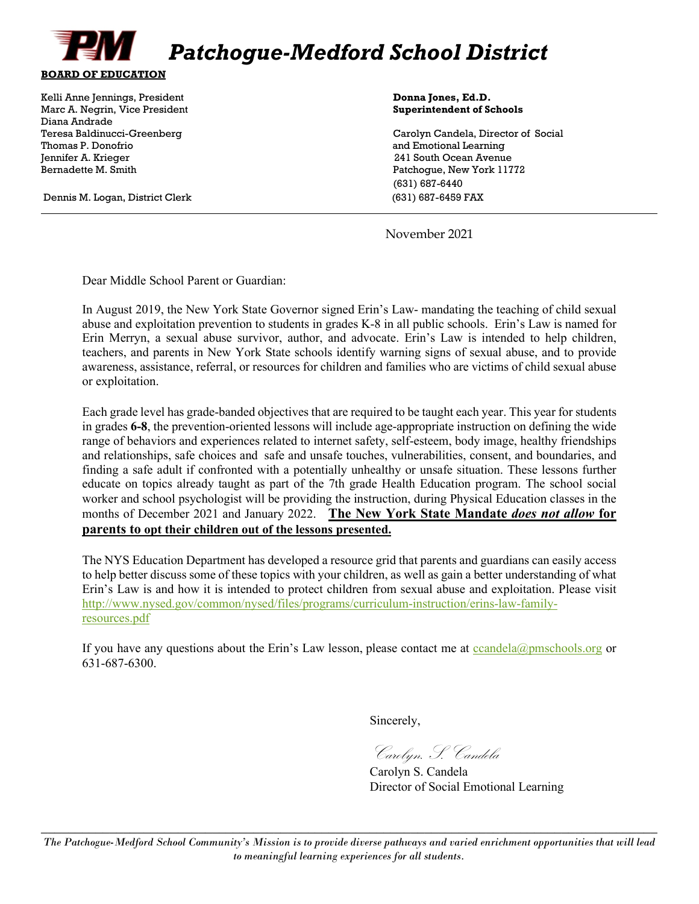

Kelli Anne Jennings, President **Donna Jones, Ed.D. Donna Jones, Ed.D. Donna Jones, Ed.D.** Marc A. Negrin, Vice President **Superintendent of Schools** Diana Andrade Jennifer A. Krieger 241 South Ocean Avenue Bernadette M. Smith Patchogue, New York 11772

Dennis M. Logan, District Clerk (631) 687-6459 FAX

Teresa Baldinucci-Greenberg Carolyn Candela, Director of Social and Emotional Learning (631) 687-6440

November 2021

Dear Middle School Parent or Guardian:

In August 2019, the New York State Governor signed Erin's Law- mandating the teaching of child sexual abuse and exploitation prevention to students in grades K-8 in all public schools. Erin's Law is named for Erin Merryn, a sexual abuse survivor, author, and advocate. Erin's Law is intended to help children, teachers, and parents in New York State schools identify warning signs of sexual abuse, and to provide awareness, assistance, referral, or resources for children and families who are victims of child sexual abuse or exploitation.

Each grade level has grade-banded objectives that are required to be taught each year. This year for students in grades **6-8**, the prevention-oriented lessons will include age-appropriate instruction on defining the wide range of behaviors and experiences related to internet safety, self-esteem, body image, healthy friendships and relationships, safe choices and safe and unsafe touches, vulnerabilities, consent, and boundaries, and finding a safe adult if confronted with a potentially unhealthy or unsafe situation. These lessons further educate on topics already taught as part of the 7th grade Health Education program. The school social worker and school psychologist will be providing the instruction, during Physical Education classes in the months of December 2021 and January 2022. **The New York State Mandate** *does not allow* **for parents to opt their children out of the lessons presented.**

The NYS Education Department has developed a resource grid that parents and guardians can easily access to help better discuss some of these topics with your children, as well as gain a better understanding of what Erin's Law is and how it is intended to protect children from sexual abuse and exploitation. Please visit [http://www.nysed.gov/common/nysed/files/programs/curriculum-instruction/erins-law-family](http://www.nysed.gov/common/nysed/files/programs/curriculum-instruction/erins-law-family-resources.pdf)[resources.pdf](http://www.nysed.gov/common/nysed/files/programs/curriculum-instruction/erins-law-family-resources.pdf)

If you have any questions about the Erin's Law lesson, please contact me at  $c$ candela@pmschools.org or 631-687-6300.

Sincerely,

Carolyn. S. Candela

Carolyn S. Candela Director of Social Emotional Learning